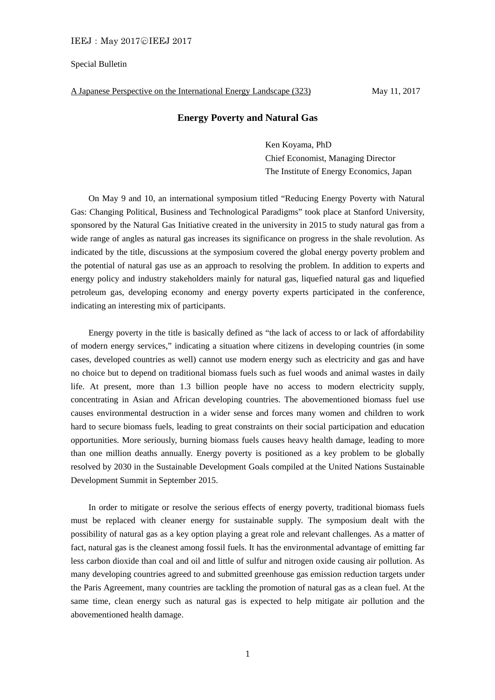## Special Bulletin

A Japanese Perspective on the International Energy Landscape (323) May 11, 2017

## **Energy Poverty and Natural Gas**

Ken Koyama, PhD Chief Economist, Managing Director The Institute of Energy Economics, Japan

On May 9 and 10, an international symposium titled "Reducing Energy Poverty with Natural Gas: Changing Political, Business and Technological Paradigms" took place at Stanford University, sponsored by the Natural Gas Initiative created in the university in 2015 to study natural gas from a wide range of angles as natural gas increases its significance on progress in the shale revolution. As indicated by the title, discussions at the symposium covered the global energy poverty problem and the potential of natural gas use as an approach to resolving the problem. In addition to experts and energy policy and industry stakeholders mainly for natural gas, liquefied natural gas and liquefied petroleum gas, developing economy and energy poverty experts participated in the conference, indicating an interesting mix of participants.

 Energy poverty in the title is basically defined as "the lack of access to or lack of affordability of modern energy services," indicating a situation where citizens in developing countries (in some cases, developed countries as well) cannot use modern energy such as electricity and gas and have no choice but to depend on traditional biomass fuels such as fuel woods and animal wastes in daily life. At present, more than 1.3 billion people have no access to modern electricity supply, concentrating in Asian and African developing countries. The abovementioned biomass fuel use causes environmental destruction in a wider sense and forces many women and children to work hard to secure biomass fuels, leading to great constraints on their social participation and education opportunities. More seriously, burning biomass fuels causes heavy health damage, leading to more than one million deaths annually. Energy poverty is positioned as a key problem to be globally resolved by 2030 in the Sustainable Development Goals compiled at the United Nations Sustainable Development Summit in September 2015.

 In order to mitigate or resolve the serious effects of energy poverty, traditional biomass fuels must be replaced with cleaner energy for sustainable supply. The symposium dealt with the possibility of natural gas as a key option playing a great role and relevant challenges. As a matter of fact, natural gas is the cleanest among fossil fuels. It has the environmental advantage of emitting far less carbon dioxide than coal and oil and little of sulfur and nitrogen oxide causing air pollution. As many developing countries agreed to and submitted greenhouse gas emission reduction targets under the Paris Agreement, many countries are tackling the promotion of natural gas as a clean fuel. At the same time, clean energy such as natural gas is expected to help mitigate air pollution and the abovementioned health damage.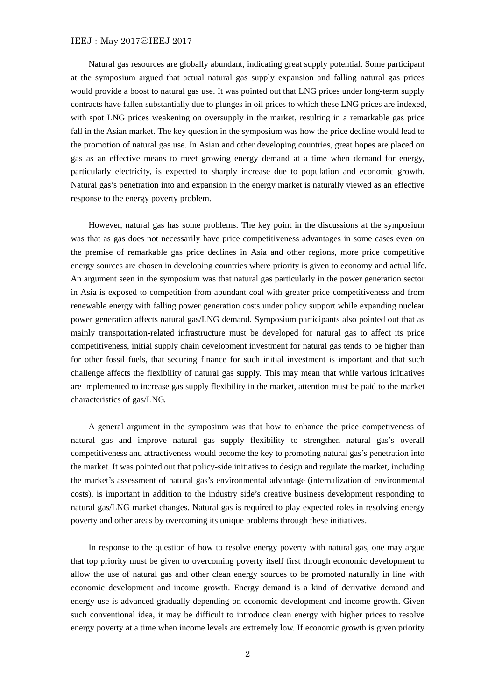## IEEJ: May 2017©IEEJ 2017

 Natural gas resources are globally abundant, indicating great supply potential. Some participant at the symposium argued that actual natural gas supply expansion and falling natural gas prices would provide a boost to natural gas use. It was pointed out that LNG prices under long-term supply contracts have fallen substantially due to plunges in oil prices to which these LNG prices are indexed, with spot LNG prices weakening on oversupply in the market, resulting in a remarkable gas price fall in the Asian market. The key question in the symposium was how the price decline would lead to the promotion of natural gas use. In Asian and other developing countries, great hopes are placed on gas as an effective means to meet growing energy demand at a time when demand for energy, particularly electricity, is expected to sharply increase due to population and economic growth. Natural gas's penetration into and expansion in the energy market is naturally viewed as an effective response to the energy poverty problem.

 However, natural gas has some problems. The key point in the discussions at the symposium was that as gas does not necessarily have price competitiveness advantages in some cases even on the premise of remarkable gas price declines in Asia and other regions, more price competitive energy sources are chosen in developing countries where priority is given to economy and actual life. An argument seen in the symposium was that natural gas particularly in the power generation sector in Asia is exposed to competition from abundant coal with greater price competitiveness and from renewable energy with falling power generation costs under policy support while expanding nuclear power generation affects natural gas/LNG demand. Symposium participants also pointed out that as mainly transportation-related infrastructure must be developed for natural gas to affect its price competitiveness, initial supply chain development investment for natural gas tends to be higher than for other fossil fuels, that securing finance for such initial investment is important and that such challenge affects the flexibility of natural gas supply. This may mean that while various initiatives are implemented to increase gas supply flexibility in the market, attention must be paid to the market characteristics of gas/LNG.

 A general argument in the symposium was that how to enhance the price competiveness of natural gas and improve natural gas supply flexibility to strengthen natural gas's overall competitiveness and attractiveness would become the key to promoting natural gas's penetration into the market. It was pointed out that policy-side initiatives to design and regulate the market, including the market's assessment of natural gas's environmental advantage (internalization of environmental costs), is important in addition to the industry side's creative business development responding to natural gas/LNG market changes. Natural gas is required to play expected roles in resolving energy poverty and other areas by overcoming its unique problems through these initiatives.

 In response to the question of how to resolve energy poverty with natural gas, one may argue that top priority must be given to overcoming poverty itself first through economic development to allow the use of natural gas and other clean energy sources to be promoted naturally in line with economic development and income growth. Energy demand is a kind of derivative demand and energy use is advanced gradually depending on economic development and income growth. Given such conventional idea, it may be difficult to introduce clean energy with higher prices to resolve energy poverty at a time when income levels are extremely low. If economic growth is given priority